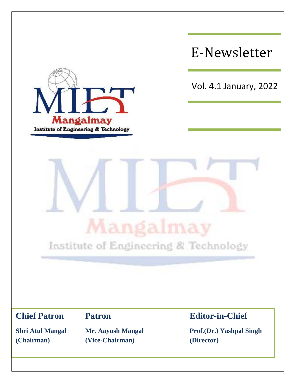

**(Chairman) (Vice-Chairman) (Director)**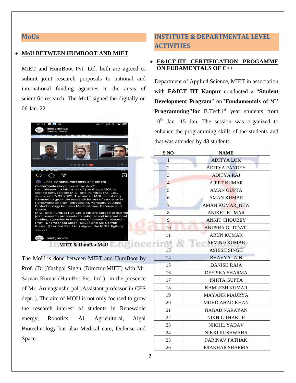#### **MoUs**

#### **MoU BETWEEN HUMBOOT AND MIET**

MIET and HumBoot Pvt. Ltd. both are agreed to submit joint research proposals to national and international funding agencies in the areas of scientific research. The MoU signed the digitally on 06 Jan. 22.



The MoU is done between MIET and HumBoot by Prof. (Dr.)Yashpal Singh (Director-MIET) with Mr. Sarvan Kumar (HumBot Pvt. Ltd.) in the presence of Mr. Arunaganshu pal (Assistant professor in CES dept. ). The aim of MOU is not only focused to grow the research interest of students in Renewable energy, Robotics, Al, Agricultural, Algal Biotechnology but also Medical care, Defense and Space.

# **INSTITUTE & DEPARTMENTAL LEVEL ACTIVITIES**

#### **E&ICT-IIT CERTIFICATION PROGAMME ON FUDAMENTALS OF C++**

Department of Applied Science, MIET in association with **E&ICT IIT Kanpur** conducted a "**Student Development Program**" on**"Fundamentals of 'C' Programming**" for B.Tech1<sup>st</sup> year students from 10th Jan -15 Jan**.** The session was organized to enhance the programming skills of the students and that was attended by 48 students.

| S.NO                 | <b>NAME</b>                 |  |  |
|----------------------|-----------------------------|--|--|
| $\mathbf{1}$         | <b>ADITYALOK</b>            |  |  |
| $\overline{c}$       | <b>ADITYA PANDEY</b>        |  |  |
| 3                    | <b>ADITYA RAJ</b>           |  |  |
| $\overline{4}$       | <b>AJEET KUMAR</b>          |  |  |
| 5                    | <b>AMAN GUPTA</b>           |  |  |
| 6                    | <b>AMAN KUMAR</b>           |  |  |
| 7                    | <b>AMAN KUMAR NEW</b>       |  |  |
| 8                    | <b>ANIKET KUMAR</b>         |  |  |
| 9                    | <b>ANKIT CHOUBEY</b>        |  |  |
| 10                   | <b>ANUSHA GUDDATI</b>       |  |  |
| 11                   | <b>ARUN KUMAR</b>           |  |  |
| 12<br>. .            | <b>ARVIND KUMAR</b><br>17.1 |  |  |
| 13                   | <b>ASHISH SINGH</b>         |  |  |
| 14                   | <b>BHAVYA JAIN</b>          |  |  |
| 15                   | <b>DANISH RAJA</b>          |  |  |
| 16                   | DEEPIKA SHARMA              |  |  |
| 17                   | ISHITA GUPTA                |  |  |
| 18                   | <b>KAMLESH KUMAR</b>        |  |  |
| 19                   | <b>MAYANK MAURYA</b>        |  |  |
| 20                   | <b>MOHD AHAD KHAN</b>       |  |  |
| 21                   | <b>NAGAD NARAYAN</b>        |  |  |
| 22                   | <b>NIKHIL THAKUR</b>        |  |  |
| 23                   | <b>NIKHIL YADAV</b>         |  |  |
| 24                   | NIKKI KUSHWAHA              |  |  |
| 25                   | PARINAV PATHAK              |  |  |
| PRAKHAR SHARMA<br>26 |                             |  |  |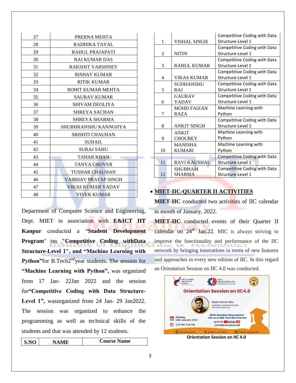| 27 | PRERNA MEHTA             |  |  |
|----|--------------------------|--|--|
| 28 | RADHIKA TAYAL            |  |  |
| 29 | RAHUL PRAJAPATI          |  |  |
| 30 | <b>RAJ KUMAR DAS</b>     |  |  |
| 31 | <b>RAKSHIT VARSHNEY</b>  |  |  |
| 32 | <b>RISHAV KUMAR</b>      |  |  |
| 33 | <b>RITIK KUMAR</b>       |  |  |
| 34 | ROHIT KUMAR MEHTA        |  |  |
| 35 | <b>SAURAV KUMAR</b>      |  |  |
| 36 | <b>SHIVAM DEOLIYA</b>    |  |  |
| 37 | <b>SHREYA SACHAN</b>     |  |  |
| 38 | SHREYA SHARMA            |  |  |
| 39 | SHUBHRANSHU KANNOJIYA    |  |  |
| 40 | <b>SRISHTI CHAUHAN</b>   |  |  |
| 41 | <b>SUHAIL</b>            |  |  |
| 42 | <b>SURAJ SAHU</b>        |  |  |
| 43 | <b>TAHAR KHAN</b>        |  |  |
| 44 | <b>TANYA GROVER</b>      |  |  |
| 45 | TUSHAR CHAUHAN           |  |  |
| 46 | VAIBHAV PRATAP SINGH     |  |  |
| 47 | <b>VIKAS KUMAR YADAV</b> |  |  |
| 48 | <b>VIVEK KUMAR</b>       |  |  |

Department of Computer Science and Engineering, Dept. MIET in association with **E&ICT IIT Kanpur** conducted a "**Student Development Program**" on **"Competitive Coding withData Structure-Level 1", and "Machine Learning with**  Python"for B.Tech2<sup>nd</sup>year students. The session for **"Machine Learning with Python",** was organized from 17 Jan- 22Jan 2022 and the session for**"Competitive Coding with Data Structure-**Level 1", wasorganized from 24 Jan- 29 Jan2022. The session was organized to enhance the programming as well as technical skills of the students and that was attended by 12 students.

| $\mathbf{S}.\mathbf{NO}$ | <b>NAME</b> | <b>Course Name</b> |
|--------------------------|-------------|--------------------|
|                          |             |                    |

|               |                     | Competitive Coding with Data |  |
|---------------|---------------------|------------------------------|--|
| 1             | VISHAL SINGH        | Structure-Level 1            |  |
|               |                     | Competitive Coding with Data |  |
| 2             | <b>NITIN</b>        | Structure-Level 1            |  |
|               |                     | Competitive Coding with Data |  |
| 3             | <b>RAHUL KUMAR</b>  | Structure-Level 1            |  |
|               |                     | Competitive Coding with Data |  |
| 4             | VIKAS KUMAR         | Structure-Level 1            |  |
|               | <b>SUDHANSHU</b>    | Competitive Coding with Data |  |
| 5             | RAI                 | Structure-Level 1            |  |
| <b>GAURAV</b> |                     | Competitive Coding with Data |  |
| 6             | <b>YADAV</b>        | Structure-Level 1            |  |
|               | <b>MOHD FAIZAN</b>  | Machine Learning with        |  |
| 7             | <b>RAZA</b>         | Python                       |  |
|               |                     | Competitive Coding with Data |  |
| 8             | <b>ANKIT SINGH</b>  | Structure-Level 1            |  |
|               | <b>ANKIT</b>        | Machine Learning with        |  |
| 9             | <b>CHOUBEY</b>      | Python                       |  |
|               | <b>MANISHA</b>      | Machine Learning with        |  |
| 10            | <b>KUMARI</b>       | Python                       |  |
|               |                     | Competitive Coding with Data |  |
| 11            | <b>RAVI KAUSHAL</b> | Structure-Level 1            |  |
|               | <b>SHUBHAM</b>      | Competitive Coding with Data |  |
| 12            | <b>SHARMA</b>       | Structure-Level 1            |  |

## **MIET-IIC-QUARTER II ACTIVITIES**

**MIET-IIC** conducted two activities of IIC calendar in month of January, 2022.

**MIET-IIC** conducted events of their Quarter II calendar on  $24<sup>th</sup>$  Jan. 22. MIC is always striving to improve the functionality and performance of the IIC network by bringing innovations in terms of new features and approaches in every new edition of IIC. In this regard an Orientation Session on IIC 4.0 was conducted.

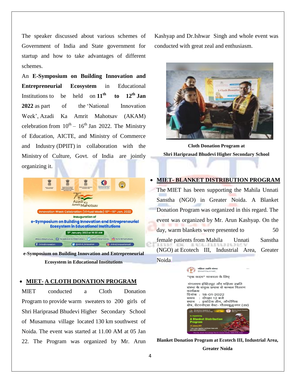The speaker discussed about various schemes of Government of India and State government for startup and how to take advantages of different schemes.

An **E-Symposium on Building Innovation and Entrepreneurial Ecosystem** in Educational Institutions to be held on  $11^{th}$  **to**  $12^{th}$  **Jan 2022** as part of the 'National Innovation Week', Azadi Ka Amrit Mahotsav (AKAM) celebration from  $10^{th} - 16^{th}$  Jan 2022. The Ministry of Education, AICTE, and Ministry of Commerce and Industry (DPIIT) in collaboration with the Ministry of Culture, Govt. of India are jointly organizing it.



**e-Symposium on Building Innovation and Entrepreneurial Ecosystem in Educational Institutions**

#### **MIET- A CLOTH DONATION PROGRAM**

MIET conducted a Cloth Donation Program to provide warm sweaters to 200 girls of Shri Hariprasad Bhudevi Higher Secondary School of Musamuna village located 130 km southwest of Noida. The event was started at 11.00 AM at 05 Jan 22. The Program was organized by Mr. Arun Kashyap and Dr.Ishwar Singh and whole event was conducted with great zeal and enthusiasm.



**Cloth Donation Program at Shri Hariprasad Bhudevi Higher Secondary School**

#### **MIET- BLANKET DISTRIBUTION PROGRAM**

The MIET has been supporting the Mahila Unnati Sanstha (NGO) in Greater Noida. A Blanket Donation Program was organized in this regard. The event was organized by Mr. Arun Kashyap. On the day, warm blankets were presented to 50 female patients from Mahila Unnati Sanstha (NGO) at Ecotech III, Industrial Area, Greater Noida.



**Blanket Donation Program at Ecotech III, Industrial Area,** 

**Greater Noida**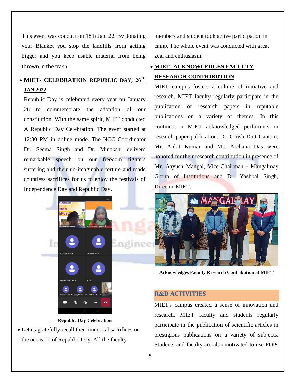This event was conduct on 18th Jan. 22. By donating your Blanket you stop the landfills from getting bigger and you keep usable material from being thrown in the trash.

# **MIET- CELEBRATION REPUBLIC DAY, 26TH JAN 2022**

Republic Day is celebrated every year on January 26 to commemorate the adoption of our constitution. With the same spirit, MIET conducted A Republic Day Celebration. The event started at 12:30 PM in online mode. The NCC Coordinator Dr. Seema Singh and Dr. Minakshi deliverd remarkable speech on our freedom fighters suffering and their un-imaginable torture and made countless sacrifices for us to enjoy the festivals of Independence Day and Republic Day.



**Republic Day Celebration**

 Let us gratefully recall their immortal sacrifices on the occasion of Republic Day. All the faculty

members and student took active participation in camp. The whole event was conducted with great zeal and enthusiasm.

# **MIET -ACKNOWLEDGES FACULTY RESEARCH CONTRIBUTION**

MIET campus fosters a culture of initiative and research. MIET faculty regularly participate in the publication of research papers in reputable publications on a variety of themes. In this continuation MIET acknowledged performers in research paper publication. Dr. Girish Dutt Gautam, Mr. Ankit Kumar and Ms. Archana Das were honored for their research contribution in presence of Mr. Aayush Mangal, Vice-Chairman - Mangalmay Group of Institutions and Dr. Yashpal Singh, Director-MIET.



**Acknowledges Faculty Research Contribution at MIET**

## **R&D ACTIVITIES**

MIET's campus created a sense of innovation and research. MIET faculty and students regularly participate in the publication of scientific articles in prestigious publications on a variety of subjects. Students and faculty are also motivated to use FDPs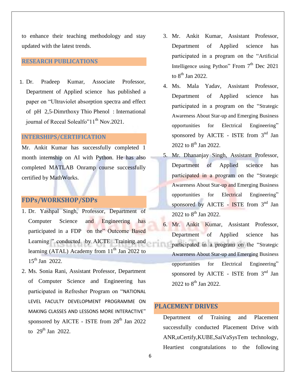to enhance their teaching methodology and stay updated with the latest trends.

### **RESEARCH PUBLICATIONS**

1. Dr. Pradeep Kumar, Associate Professor, Department of Applied science has published a paper on "Ultraviolet absorption spectra and effect of pH 2,5-Dimrthoxy Thio Phenol : International journal of Receal Solealfo"11<sup>th</sup> Nov.2021.

### **INTERSHIPS/CERTIFICATION**

Mr. Ankit Kumar has successfully completed 1 month internship on AI with Python. He has also completed MATLAB Onramp course successfully certified by MathWorks.

# **FDPs/WORKSHOP/SDPs**

- 1. Dr. Yashpal Singh, Professor, Department of Computer Science and Engineering has participated in a FDP on the" Outcome Based Learning " conducted by AICTE Training and learning (ATAL) Academy from  $11<sup>th</sup>$  Jan 2022 to 15<sup>th</sup> Jan 2022.
- 2. Ms. Sonia Rani, Assistant Professor, Department of Computer Science and Engineering has participated in Refresher Program on "NATIONAL LEVEL FACULTY DEVELOPMENT PROGRAMME ON MAKING CLASSES AND LESSONS MORE INTERACTIVE" sponsored by AICTE - ISTE from  $28<sup>th</sup>$  Jan 2022 to  $29^{th}$  Jan  $2022$ .
- 3. Mr. Ankit Kumar, Assistant Professor, Department of Applied science has participated in a program on the "Artificial Intelligence using Python" From  $7<sup>th</sup>$  Dec 2021 to  $8^{\text{th}}$  Jan 2022.
- 4. Ms. Mala Yadav, Assistant Professor, Department of Applied science has participated in a program on the "Strategic Awareness About Star-up and Emerging Business opportunities for Electrical Engineering" sponsored by AICTE - ISTE from  $3<sup>nd</sup>$  Jan 2022 to  $8^{\text{th}}$  Jan 2022.
- 5. Mr. Dhananjay Singh, Assistant Professor, Department of Applied science has participated in a program on the "Strategic Awareness About Star-up and Emerging Business opportunities for Electrical Engineering" sponsored by AICTE - ISTE from 3<sup>nd</sup> Jan 2022 to  $8^{\text{th}}$  Jan 2022.
- 6. Mr. Ankit Kumar, Assistant Professor, Department of Applied science has participated in a program on the "Strategic Awareness About Star-up and Emerging Business opportunities for Electrical Engineering" sponsored by AICTE - ISTE from  $3<sup>nd</sup>$  Jan 2022 to  $8^{\text{th}}$  Jan 2022.

## **PLACEMENT DRIVES**

Department of Training and Placement successfully conducted Placement Drive with ANR,uCertify,KUBE,SaiVaSysTem technology, Heartiest congratulations to the following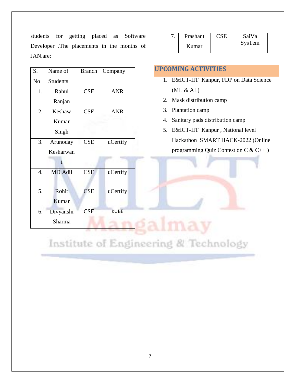students for getting placed as Software Developer .The placements in the months of JAN.are:

| S.               | Name of         | <b>Branch</b> | Company          | <b>UPCOMING ACTIVI</b>  |
|------------------|-----------------|---------------|------------------|-------------------------|
| N <sub>o</sub>   | <b>Students</b> |               |                  | 1. E&ICT-IIT Kanp       |
| 1.               | Rahul           | <b>CSE</b>    | <b>ANR</b>       | (ML & AL)               |
|                  | Ranjan          |               |                  | Mask distribution<br>2. |
| 2.               | Keshaw          | <b>CSE</b>    | <b>ANR</b>       | Plantation camp<br>3.   |
|                  | Kumar           |               |                  | 4. Sanitary pads dist   |
|                  | Singh           |               |                  | E&ICT-IIT Kanp<br>5.    |
| 3.               | Arunoday        | <b>CSE</b>    | uCertify         | Hackathon SMA           |
|                  | Kesharwan       |               |                  | programming Qui         |
|                  |                 |               |                  |                         |
| $\overline{4}$ . | MD Adil         | <b>CSE</b>    | <i>u</i> Certify |                         |
|                  |                 |               |                  |                         |
| 5.               | Rohit           | <b>CSE</b>    | uCertify         |                         |
|                  | Kumar           |               |                  |                         |
| 6.               | Divyanshi       | <b>CSE</b>    | <b>KUBE</b>      |                         |
|                  | Sharma          |               |                  |                         |
|                  |                 |               |                  |                         |

| Prashant | <b>CSE</b> | SaiVa  |
|----------|------------|--------|
| Kumar    |            | SysTem |

## **UPCOMING ACTIVITIES**

- 1. E&ICT-IIT Kanpur, FDP on Data Science  $(ML & AL)$
- 2. Mask distribution camp
- 3. Plantation camp
- 4. Sanitary pads distribution camp
- 5. E&ICT-IIT Kanpur , National level Hackathon SMART HACK-2022 (Online programming Quiz Contest on C & C++ )

# Institute of Engineering & Technology